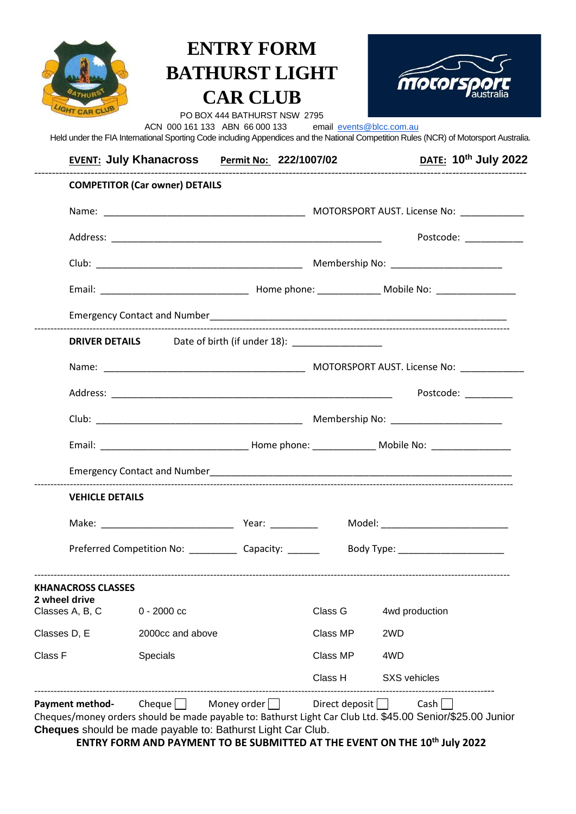|                                            | ACN 000 161 133 ABN 66 000 133 email events@blcc.com.au                                                                      | <b>ENTRY FORM</b><br><b>BATHURST LIGHT</b><br><b>CAR CLUB</b><br>PO BOX 444 BATHURST NSW 2795 |          | moto<br>Held under the FIA International Sporting Code including Appendices and the National Competition Rules (NCR) of Motorsport Australia.                                                       |
|--------------------------------------------|------------------------------------------------------------------------------------------------------------------------------|-----------------------------------------------------------------------------------------------|----------|-----------------------------------------------------------------------------------------------------------------------------------------------------------------------------------------------------|
|                                            | EVENT: July Khanacross Permit No: 222/1007/02                                                                                |                                                                                               |          | <b>DATE:</b> 10 <sup>th</sup> July 2022                                                                                                                                                             |
|                                            | <b>COMPETITOR (Car owner) DETAILS</b>                                                                                        |                                                                                               |          |                                                                                                                                                                                                     |
|                                            |                                                                                                                              |                                                                                               |          |                                                                                                                                                                                                     |
|                                            |                                                                                                                              |                                                                                               |          | Postcode: __________                                                                                                                                                                                |
|                                            |                                                                                                                              |                                                                                               |          |                                                                                                                                                                                                     |
|                                            |                                                                                                                              |                                                                                               |          |                                                                                                                                                                                                     |
|                                            |                                                                                                                              |                                                                                               |          |                                                                                                                                                                                                     |
|                                            | DRIVER DETAILS Date of birth (if under 18): __________________                                                               |                                                                                               |          |                                                                                                                                                                                                     |
|                                            |                                                                                                                              |                                                                                               |          |                                                                                                                                                                                                     |
|                                            |                                                                                                                              |                                                                                               |          | Postcode: National Postcode:                                                                                                                                                                        |
|                                            |                                                                                                                              |                                                                                               |          |                                                                                                                                                                                                     |
|                                            |                                                                                                                              |                                                                                               |          |                                                                                                                                                                                                     |
|                                            | <b>Emergency Contact and Number</b>                                                                                          |                                                                                               |          |                                                                                                                                                                                                     |
| <b>VEHICLE DETAILS</b>                     |                                                                                                                              |                                                                                               |          |                                                                                                                                                                                                     |
|                                            |                                                                                                                              |                                                                                               |          |                                                                                                                                                                                                     |
|                                            |                                                                                                                              |                                                                                               |          |                                                                                                                                                                                                     |
| <b>KHANACROSS CLASSES</b><br>2 wheel drive |                                                                                                                              |                                                                                               |          |                                                                                                                                                                                                     |
| Classes A, B, C 0 - 2000 cc                |                                                                                                                              |                                                                                               | Class G  | 4wd production                                                                                                                                                                                      |
| Classes D, E                               | 2000cc and above                                                                                                             |                                                                                               | Class MP | 2WD                                                                                                                                                                                                 |
| Class F                                    | Specials                                                                                                                     |                                                                                               | Class MP | 4WD                                                                                                                                                                                                 |
|                                            |                                                                                                                              |                                                                                               |          | Class H SXS vehicles                                                                                                                                                                                |
|                                            | <b>Payment method-</b> Cheque Money order Direct deposit Cash<br>Cheques should be made payable to: Bathurst Light Car Club. |                                                                                               |          | Cheques/money orders should be made payable to: Bathurst Light Car Club Ltd. \$45.00 Senior/\$25.00 Junior<br>ENTRY FORM AND PAYMENT TO BE SUBMITTED AT THE EVENT ON THE 10 <sup>th</sup> July 2022 |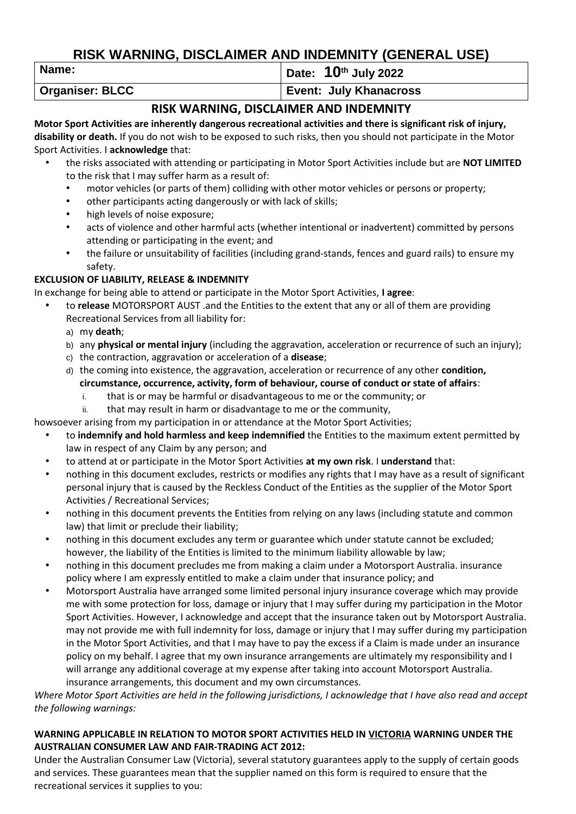# **RISK WARNING, DISCLAIMER AND INDEMNITY (GENERAL USE)**

**Name: Date: 10<sup>th</sup> July 2022** 

**Organiser: BLCC Event: July Khanacross** 

## **RISK WARNING, DISCLAIMER AND INDEMNITY**

**Motor Sport Activities are inherently dangerous recreational activities and there is significant risk of injury, disability or death.** If you do not wish to be exposed to such risks, then you should not participate in the Motor Sport Activities. I **acknowledge** that:

- the risks associated with attending or participating in Motor Sport Activities include but are **NOT LIMITED**  to the risk that I may suffer harm as a result of:
	- motor vehicles (or parts of them) colliding with other motor vehicles or persons or property;
	- other participants acting dangerously or with lack of skills;
	- high levels of noise exposure;
	- acts of violence and other harmful acts (whether intentional or inadvertent) committed by persons attending or participating in the event; and
	- the failure or unsuitability of facilities (including grand-stands, fences and guard rails) to ensure my safety.

### **EXCLUSION OF LIABILITY, RELEASE & INDEMNITY**

In exchange for being able to attend or participate in the Motor Sport Activities, **I agree**:

- to **release** MOTORSPORT AUST .and the Entities to the extent that any or all of them are providing Recreational Services from all liability for:
	- a) my **death**;
	- b) any **physical or mental injury** (including the aggravation, acceleration or recurrence of such an injury);
	- c) the contraction, aggravation or acceleration of a **disease**;
	- d) the coming into existence, the aggravation, acceleration or recurrence of any other **condition, circumstance, occurrence, activity, form of behaviour, course of conduct or state of affairs**:
		- i. that is or may be harmful or disadvantageous to me or the community; or
		- ii. that may result in harm or disadvantage to me or the community,

howsoever arising from my participation in or attendance at the Motor Sport Activities;

- to **indemnify and hold harmless and keep indemnified** the Entities to the maximum extent permitted by law in respect of any Claim by any person; and
- to attend at or participate in the Motor Sport Activities **at my own risk**. I **understand** that:
- nothing in this document excludes, restricts or modifies any rights that I may have as a result of significant personal injury that is caused by the Reckless Conduct of the Entities as the supplier of the Motor Sport Activities / Recreational Services;
- nothing in this document prevents the Entities from relying on any laws (including statute and common law) that limit or preclude their liability;
- nothing in this document excludes any term or guarantee which under statute cannot be excluded; however, the liability of the Entities is limited to the minimum liability allowable by law;
- nothing in this document precludes me from making a claim under a Motorsport Australia. insurance policy where I am expressly entitled to make a claim under that insurance policy; and
- Motorsport Australia have arranged some limited personal injury insurance coverage which may provide me with some protection for loss, damage or injury that I may suffer during my participation in the Motor Sport Activities. However, I acknowledge and accept that the insurance taken out by Motorsport Australia. may not provide me with full indemnity for loss, damage or injury that I may suffer during my participation in the Motor Sport Activities, and that I may have to pay the excess if a Claim is made under an insurance policy on my behalf. I agree that my own insurance arrangements are ultimately my responsibility and I will arrange any additional coverage at my expense after taking into account Motorsport Australia. insurance arrangements, this document and my own circumstances.

*Where Motor Sport Activities are held in the following jurisdictions, I acknowledge that I have also read and accept the following warnings:*

#### **WARNING APPLICABLE IN RELATION TO MOTOR SPORT ACTIVITIES HELD IN VICTORIA WARNING UNDER THE AUSTRALIAN CONSUMER LAW AND FAIR-TRADING ACT 2012:**

Under the Australian Consumer Law (Victoria), several statutory guarantees apply to the supply of certain goods and services. These guarantees mean that the supplier named on this form is required to ensure that the recreational services it supplies to you: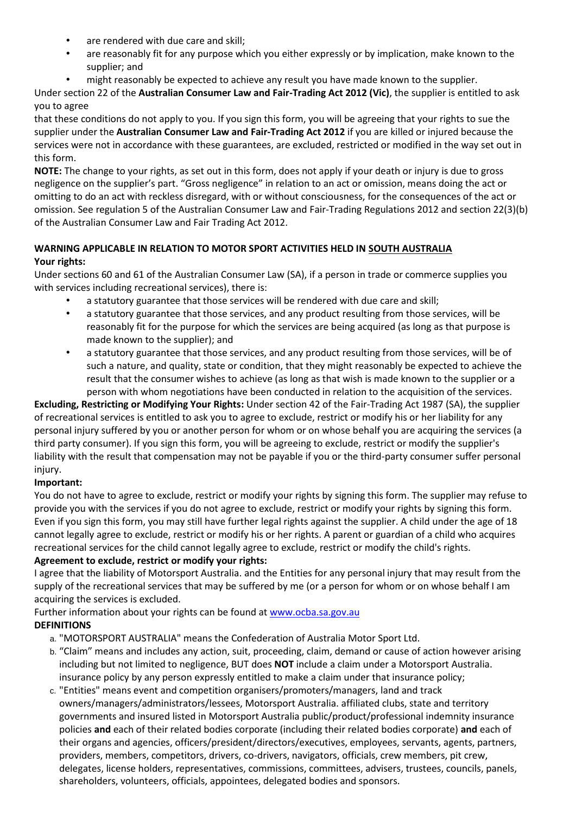- are rendered with due care and skill:
- are reasonably fit for any purpose which you either expressly or by implication, make known to the supplier; and
- might reasonably be expected to achieve any result you have made known to the supplier.

Under section 22 of the **Australian Consumer Law and Fair-Trading Act 2012 (Vic)**, the supplier is entitled to ask you to agree

that these conditions do not apply to you. If you sign this form, you will be agreeing that your rights to sue the supplier under the **Australian Consumer Law and Fair-Trading Act 2012** if you are killed or injured because the services were not in accordance with these guarantees, are excluded, restricted or modified in the way set out in this form.

**NOTE:** The change to your rights, as set out in this form, does not apply if your death or injury is due to gross negligence on the supplier's part. "Gross negligence" in relation to an act or omission, means doing the act or omitting to do an act with reckless disregard, with or without consciousness, for the consequences of the act or omission. See regulation 5 of the Australian Consumer Law and Fair-Trading Regulations 2012 and section 22(3)(b) of the Australian Consumer Law and Fair Trading Act 2012.

#### **WARNING APPLICABLE IN RELATION TO MOTOR SPORT ACTIVITIES HELD IN SOUTH AUSTRALIA Your rights:**

Under sections 60 and 61 of the Australian Consumer Law (SA), if a person in trade or commerce supplies you with services including recreational services), there is:

- a statutory guarantee that those services will be rendered with due care and skill;
- a statutory guarantee that those services, and any product resulting from those services, will be reasonably fit for the purpose for which the services are being acquired (as long as that purpose is made known to the supplier); and
- a statutory guarantee that those services, and any product resulting from those services, will be of such a nature, and quality, state or condition, that they might reasonably be expected to achieve the result that the consumer wishes to achieve (as long as that wish is made known to the supplier or a person with whom negotiations have been conducted in relation to the acquisition of the services.

**Excluding, Restricting or Modifying Your Rights:** Under section 42 of the Fair-Trading Act 1987 (SA), the supplier of recreational services is entitled to ask you to agree to exclude, restrict or modify his or her liability for any personal injury suffered by you or another person for whom or on whose behalf you are acquiring the services (a third party consumer). If you sign this form, you will be agreeing to exclude, restrict or modify the supplier's liability with the result that compensation may not be payable if you or the third-party consumer suffer personal injury.

## **Important:**

You do not have to agree to exclude, restrict or modify your rights by signing this form. The supplier may refuse to provide you with the services if you do not agree to exclude, restrict or modify your rights by signing this form. Even if you sign this form, you may still have further legal rights against the supplier. A child under the age of 18 cannot legally agree to exclude, restrict or modify his or her rights. A parent or guardian of a child who acquires recreational services for the child cannot legally agree to exclude, restrict or modify the child's rights. **Agreement to exclude, restrict or modify your rights:**

I agree that the liability of Motorsport Australia. and the Entities for any personal injury that may result from the supply of the recreational services that may be suffered by me (or a person for whom or on whose behalf I am acquiring the services is excluded.

Further information about your rights can be found at [www.ocba.sa.gov.au](http://www.ocba.sa.gov.au/) **DEFINITIONS**

- a. "MOTORSPORT AUSTRALIA" means the Confederation of Australia Motor Sport Ltd.
- b. "Claim" means and includes any action, suit, proceeding, claim, demand or cause of action however arising including but not limited to negligence, BUT does **NOT** include a claim under a Motorsport Australia. insurance policy by any person expressly entitled to make a claim under that insurance policy;
- c. "Entities" means event and competition organisers/promoters/managers, land and track owners/managers/administrators/lessees, Motorsport Australia. affiliated clubs, state and territory governments and insured listed in Motorsport Australia public/product/professional indemnity insurance policies **and** each of their related bodies corporate (including their related bodies corporate) **and** each of their organs and agencies, officers/president/directors/executives, employees, servants, agents, partners, providers, members, competitors, drivers, co-drivers, navigators, officials, crew members, pit crew, delegates, license holders, representatives, commissions, committees, advisers, trustees, councils, panels, shareholders, volunteers, officials, appointees, delegated bodies and sponsors.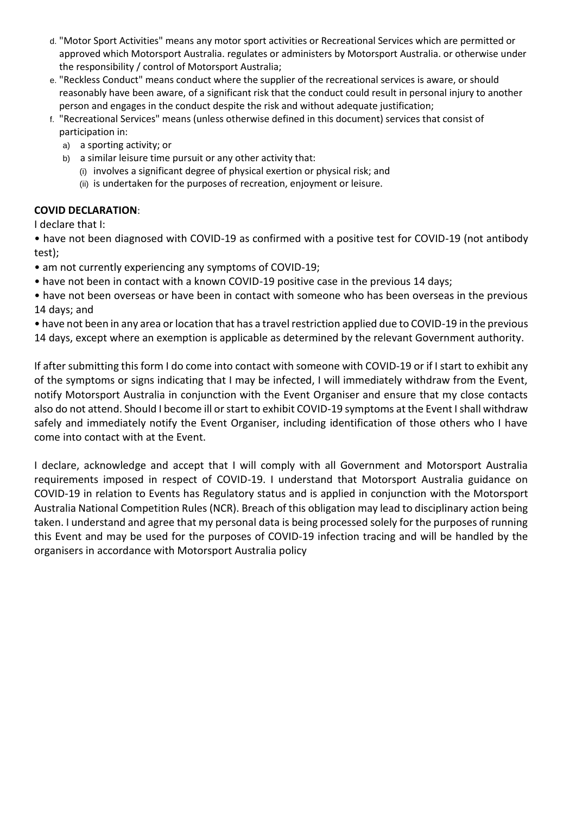- d. "Motor Sport Activities" means any motor sport activities or Recreational Services which are permitted or approved which Motorsport Australia. regulates or administers by Motorsport Australia. or otherwise under the responsibility / control of Motorsport Australia;
- e. "Reckless Conduct" means conduct where the supplier of the recreational services is aware, or should reasonably have been aware, of a significant risk that the conduct could result in personal injury to another person and engages in the conduct despite the risk and without adequate justification;
- f. "Recreational Services" means (unless otherwise defined in this document) services that consist of participation in:
	- a) a sporting activity; or
	- b) a similar leisure time pursuit or any other activity that:
		- (i) involves a significant degree of physical exertion or physical risk; and
		- (ii) is undertaken for the purposes of recreation, enjoyment or leisure.

### **COVID DECLARATION**:

I declare that I:

• have not been diagnosed with COVID-19 as confirmed with a positive test for COVID-19 (not antibody test);

- am not currently experiencing any symptoms of COVID-19;
- have not been in contact with a known COVID-19 positive case in the previous 14 days;
- have not been overseas or have been in contact with someone who has been overseas in the previous 14 days; and
- have not been in any area or location that has a travel restriction applied due to COVID-19 in the previous 14 days, except where an exemption is applicable as determined by the relevant Government authority.

If after submitting this form I do come into contact with someone with COVID-19 or if I start to exhibit any of the symptoms or signs indicating that I may be infected, I will immediately withdraw from the Event, notify Motorsport Australia in conjunction with the Event Organiser and ensure that my close contacts also do not attend. Should I become ill or start to exhibit COVID-19 symptoms at the Event I shall withdraw safely and immediately notify the Event Organiser, including identification of those others who I have come into contact with at the Event.

I declare, acknowledge and accept that I will comply with all Government and Motorsport Australia requirements imposed in respect of COVID-19. I understand that Motorsport Australia guidance on COVID-19 in relation to Events has Regulatory status and is applied in conjunction with the Motorsport Australia National Competition Rules (NCR). Breach of this obligation may lead to disciplinary action being taken. I understand and agree that my personal data is being processed solely for the purposes of running this Event and may be used for the purposes of COVID-19 infection tracing and will be handled by the organisers in accordance with Motorsport Australia policy